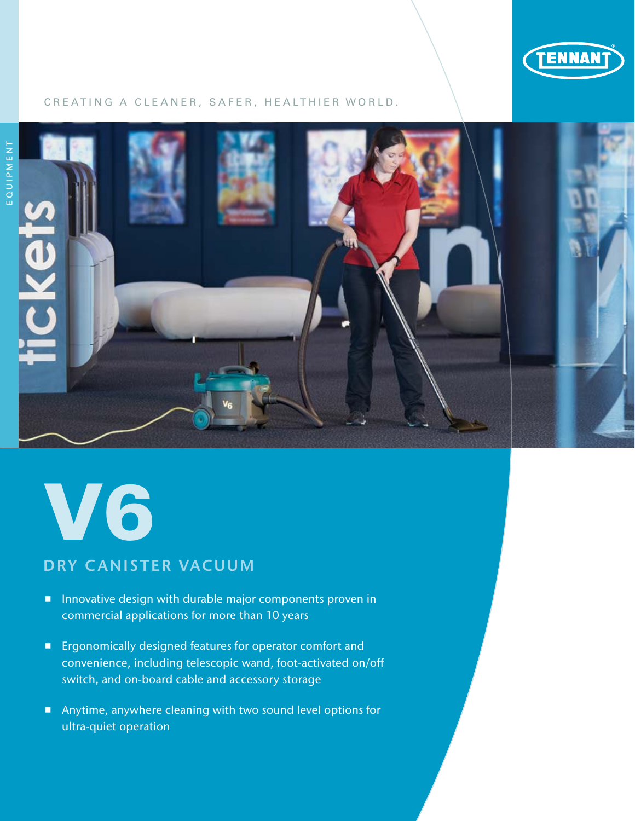

## CREATING A CLEANER, SAFER, HEALTHIER WORLD.





# DRY CANISTER VACUUM

- **Innovative design with durable major components proven in** commercial applications for more than 10 years
- **Example 20 Ergonomically designed features for operator comfort and** convenience, including telescopic wand, foot-activated on/off switch, and on-board cable and accessory storage
- Anytime, anywhere cleaning with two sound level options for ultra-quiet operation